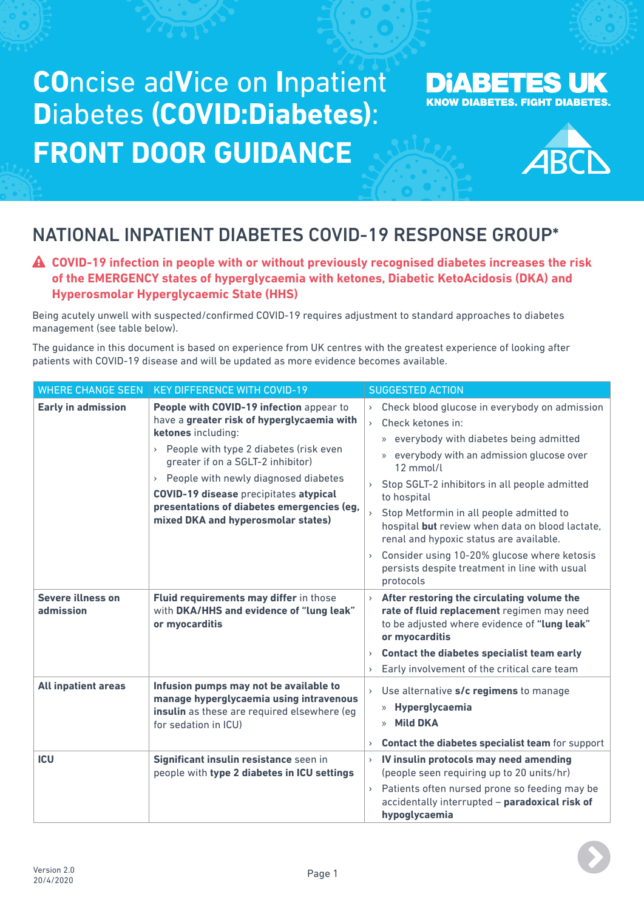# **CO**ncise ad**V**ice on **I**npatient **D**iabetes **(COVID:Diabetes)**: **FRONT DOOR GUIDANCE**

### **DIABETES UK KNOW DIABETES. FIGHT DIABETES.**



## NATIONAL INPATIENT DIABETES COVID-19 RESPONSE GROUP\*

### **COVID-19 infection in people with or without previously recognised diabetes increases the risk of the EMERGENCY states of hyperglycaemia with ketones, Diabetic KetoAcidosis (DKA) and Hyperosmolar Hyperglycaemic State (HHS)**

Being acutely unwell with suspected/confirmed COVID-19 requires adjustment to standard approaches to diabetes management (see table below).

The guidance in this document is based on experience from UK centres with the greatest experience of looking after patients with COVID-19 disease and will be updated as more evidence becomes available.

| <b>WHERE CHANGE SEEN</b>       | <b>KEY DIFFERENCE WITH COVID-19</b>                                                                                                                                                                                                                                                                                                                                          | <b>SUGGESTED ACTION</b>                                                                                                                                                                                                                                                                                                                                                                                                                                                                                                                                                                                                                                                                                                                                                                                                                                                                                                                                                                                                                                                                                                                  |
|--------------------------------|------------------------------------------------------------------------------------------------------------------------------------------------------------------------------------------------------------------------------------------------------------------------------------------------------------------------------------------------------------------------------|------------------------------------------------------------------------------------------------------------------------------------------------------------------------------------------------------------------------------------------------------------------------------------------------------------------------------------------------------------------------------------------------------------------------------------------------------------------------------------------------------------------------------------------------------------------------------------------------------------------------------------------------------------------------------------------------------------------------------------------------------------------------------------------------------------------------------------------------------------------------------------------------------------------------------------------------------------------------------------------------------------------------------------------------------------------------------------------------------------------------------------------|
| <b>Early in admission</b>      | People with COVID-19 infection appear to<br>have a greater risk of hyperglycaemia with<br>ketones including:<br>> People with type 2 diabetes (risk even<br>greater if on a SGLT-2 inhibitor)<br>> People with newly diagnosed diabetes<br><b>COVID-19 disease precipitates atypical</b><br>presentations of diabetes emergencies (eg,<br>mixed DKA and hyperosmolar states) | Check blood glucose in everybody on admission<br>$\left. \right. \right. \left. \right. \left. \right. \left. \right. \left. \right. \left. \right. \left. \right. \left. \left. \right. \left. \right. \left. \left. \right. \left. \right. \left. \right. \left. \left. \right. \left. \right. \left. \left. \right. \right. \left. \left. \right. \left. \left. \right. \right. \left. \left. \right. \right. \left. \left. \right. \right. \left. \left. \right. \left. \left. \right. \right. \left. \left. \right. \right. \left. \left. \right. \left. \left. \right. \right. \left. \left. \right. \right. \$<br>Check ketones in:<br>$\mathbf{r}$<br>everybody with diabetes being admitted<br>X)<br>everybody with an admission glucose over<br>$\mathcal{V}$<br>12 mmol/l<br>Stop SGLT-2 inhibitors in all people admitted<br>$\mathbf{\Sigma}$<br>to hospital<br>Stop Metformin in all people admitted to<br>hospital but review when data on blood lactate,<br>renal and hypoxic status are available.<br>Consider using 10-20% glucose where ketosis<br>$\,$<br>persists despite treatment in line with usual<br>protocols |
| Severe illness on<br>admission | Fluid requirements may differ in those<br>with DKA/HHS and evidence of "lung leak"<br>or myocarditis                                                                                                                                                                                                                                                                         | After restoring the circulating volume the<br>rate of fluid replacement regimen may need<br>to be adjusted where evidence of "lung leak"<br>or myocarditis<br>Contact the diabetes specialist team early<br>$\,$<br>Early involvement of the critical care team<br>$\overline{\phantom{a}}$                                                                                                                                                                                                                                                                                                                                                                                                                                                                                                                                                                                                                                                                                                                                                                                                                                              |
| <b>All inpatient areas</b>     | Infusion pumps may not be available to<br>manage hyperglycaemia using intravenous<br>insulin as these are required elsewhere (eg<br>for sedation in ICU)                                                                                                                                                                                                                     | Use alternative s/c regimens to manage<br>$\,$<br>» Hyperglycaemia<br><b>Mild DKA</b><br>$\mathcal{D}$<br>Contact the diabetes specialist team for support<br>$\,$                                                                                                                                                                                                                                                                                                                                                                                                                                                                                                                                                                                                                                                                                                                                                                                                                                                                                                                                                                       |
| <b>ICU</b>                     | Significant insulin resistance seen in<br>people with type 2 diabetes in ICU settings                                                                                                                                                                                                                                                                                        | IV insulin protocols may need amending<br>$\,$<br>(people seen requiring up to 20 units/hr)<br>Patients often nursed prone so feeding may be<br>$\bar{\mathbf{y}}$<br>accidentally interrupted - paradoxical risk of<br>hypoglycaemia                                                                                                                                                                                                                                                                                                                                                                                                                                                                                                                                                                                                                                                                                                                                                                                                                                                                                                    |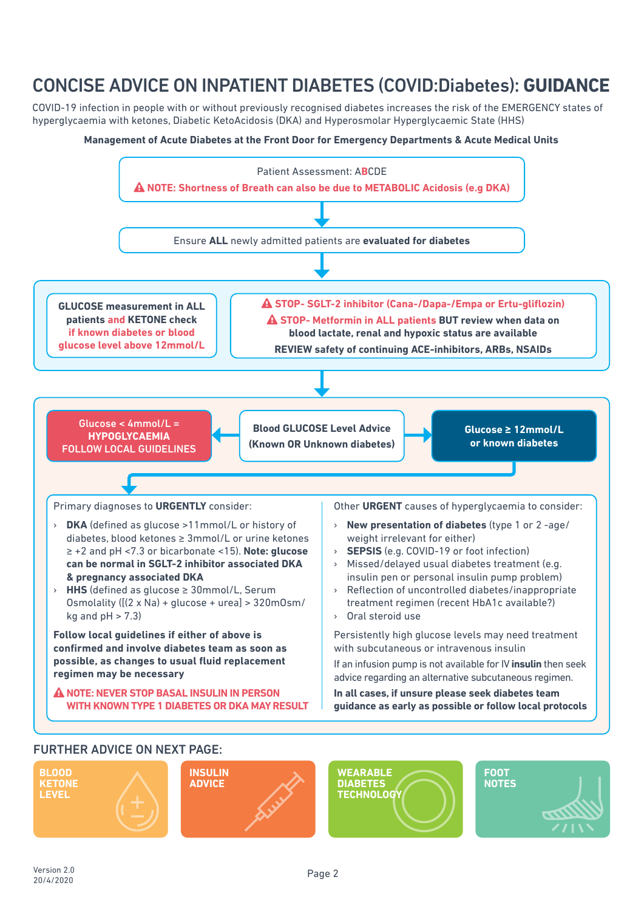### CONCISE ADVICE ON INPATIENT DIABETES (COVID:Diabetes): **GUIDANCE**

COVID-19 infection in people with or without previously recognised diabetes increases the risk of the EMERGENCY states of hyperglycaemia with ketones, Diabetic KetoAcidosis (DKA) and Hyperosmolar Hyperglycaemic State (HHS)